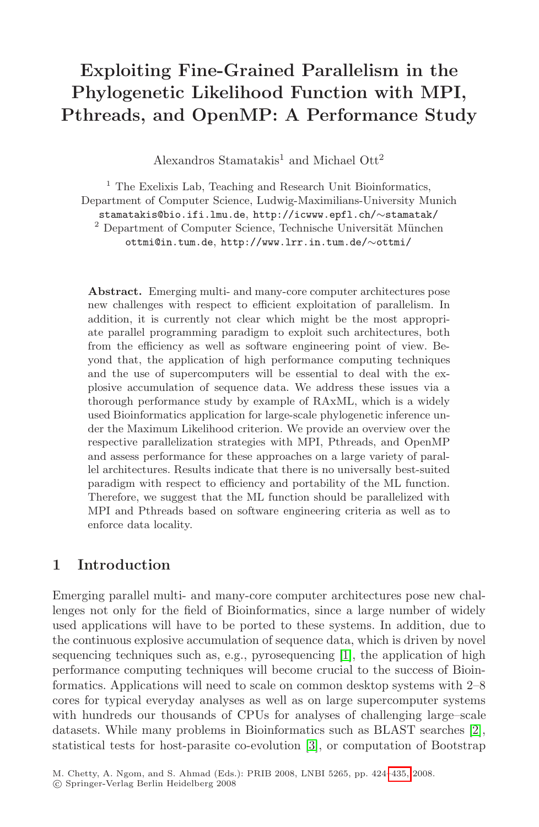# **Exploiting Fine-Grained Parallelism in the Phylogenetic Likelihood Function with MPI, Pthreads, and OpenMP: A Performance Study**

Alexandros Stamatakis<sup>1</sup> and Michael Ott<sup>2</sup>

 $<sup>1</sup>$  The Exelixis Lab, Teaching and Research Unit Bioinformatics,</sup> Department of Computer Science, Ludwig-Maximilians-University Munich stamatakis@bio.ifi.lmu.de, http://icwww.epfl.ch/∼stamatak/<br><sup>2</sup> Department of Computer Science, Technische Universität München ottmi@in.tum.de, http://www.lrr.in.tum.de/∼ottmi/

**Abstract.** Emerging multi- and many-core computer architectures pose new challenges with respect to efficient exploitation of parallelism. In addition, it is currently not clear which might be the most appropriate parallel programming paradigm to exploit such architectures, both from the efficiency as well as software engineering point of view. Beyond that, the application of high performance computing techniques and the use of supercomputers will be essential to deal with the explosive accumulation of sequence data. We address these issues via a thorough performance study by example of RAxML, which is a widely used Bioinformatics application for large-scale phylogenetic inference under the Maximum Likelihood criterion. We provide an overview over the respective parallelization strategies with MPI, Pthreads, and OpenMP and assess performance for these approaches on a large variety of parallel architectures. Results indicate that there is no universally best-suited paradigm with respect to efficiency and portability of the ML function. Therefore, we suggest that the ML function should be parallelized with MPI and Pthreads based on software engineering criteria as well as to enforce data locality.

# **1 Introduction**

Emerging parallel multi- and many-core computer architectures pose new challenges not only for the field of Bioinformatics, since a la[rg](#page-10-0)e number of widely used applications will have [to](#page-10-1) be ported to these systems. In addition, due to the continuous explosive accumulation of sequence data, which is driven by novel sequencing techniques such as, e.g., pyros[equen](#page-11-0)cing [1], the application of high performance computing techniques will become crucial to the success of Bioinformatics. Applications will need to scale on common desktop systems with 2–8 cores for typical everyday analyses as well as on large supercomputer systems with hundreds our thousands of CPUs for analyses of challenging large–scale datasets. While many problems in Bioinformatics such as BLAST searches [2], statistical tests for host-parasite co-evolution [3], or computation of Bootstrap

M. Chetty, A. Ngom, and S. Ahmad (Eds.): PRIB 2008, LNBI 5265, pp. 424–435, 2008.

<sup>-</sup>c Springer-Verlag Berlin Heidelberg 2008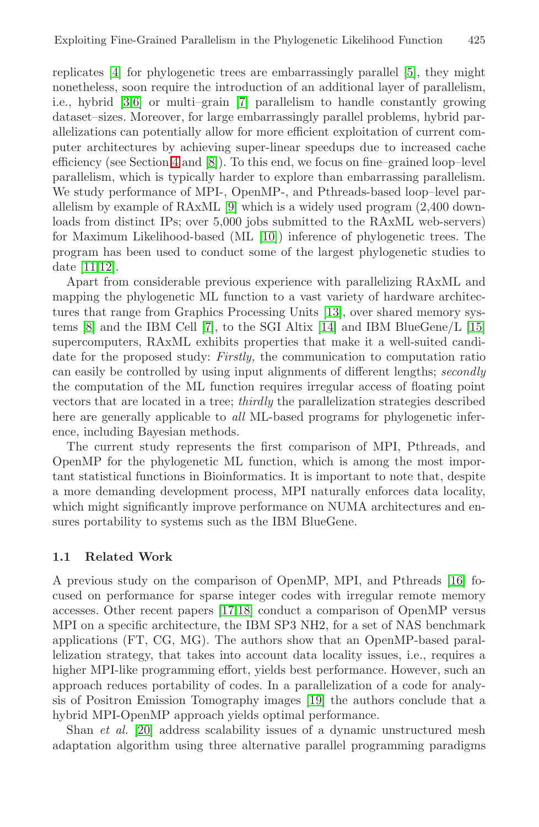replicates [4] for phylogenetic trees are embarrassingly parallel [5], they might nonetheless, [so](#page-10-3)on require the introduction of an additional layer of parallelism, i.e., hybrid [3,6] or multi–grain [7] parallelism to handle constantly growing dataset–sizes. Mor[eove](#page-10-4)r, for large embarrassingly parallel problems, hybrid parallelizations can potentially allow for more efficient exploitation of current computer architectures by achieving super-linear speedups due to increased cache efficiency (see Section 4 and [8]). To this end, we focus on fine–grained loop–level parallelism, which is typically harder to explore than embarrassing parallelism. We study performance of MPI[-, O](#page-10-5)penMP-, and Pthreads-based loop–level parallelism [by](#page-10-6) example of RAxM[L \[9](#page-10-7)] which is a widely used [pro](#page-10-8)gram (2,400 downloads from distinct IPs; over 5,000 jobs submitted to the RAxML web-servers) for Maximum Likelihood-based (ML [10]) inference of phylogenetic trees. The program has been used to conduct some of the largest phylogenetic studies to date [11,12].

Apart from considerable previous experience with parallelizing RAxML and mapping the phylogenetic ML function to a vast variety of hardware architectures that range from Graphics Processing Units [13], over shared memory systems [8] and the IBM Cell [7], to the SGI Altix [14] and IBM BlueGene/L [15] supercomputers, RAxML exhibits properties that make it a well-suited candidate for the proposed study: *Firstly,* the communication to computation ratio can easily be controlled by using input alignments of different lengths; *secondly* the computation of the ML function requires irregular access of floating point vectors that are located in a tree; *thirdly* the parallelization strategies described here are generally applicable to *all* ML-based programs for phylogenetic inference, including Bayesian methods.

The current study represents the first comparison of MPI, Pthreads, and OpenMP for the phylogenetic ML function, which i[s am](#page-10-9)ong the most important statistical functions in Bioinformatics. It is important to note that, despite a more de[man](#page-10-10)[din](#page-10-11)g development process, MPI naturally enforces data locality, which might significantly improve performance on NUMA architectures and ensures portability to systems such as the IBM BlueGene.

#### **1.1 Related Work**

A previous study on the c[omp](#page-11-1)arison of OpenMP, MPI, and Pthreads [16] focused on performance for sparse integer codes with irregular remote memory accesses. Other recent papers [17,18] conduct a comparison of OpenMP versus MPI on a specific architecture, the IBM SP3 NH2, for a set of NAS benchmark applications (FT, CG, MG). The authors show that an OpenMP-based parallelization strategy, that takes into account data locality issues, i.e., requires a higher MPI-like programming effort, yields best performance. However, such an approach reduces portability of codes. In a parallelization of a code for analysis of Positron Emission Tomography images [19] the authors conclude that a hybrid MPI-OpenMP approach yields optimal performance.

Shan *et al.* [20] address scalability issues of a dynamic unstructured mesh adaptation algorithm using three alternative parallel programming paradigms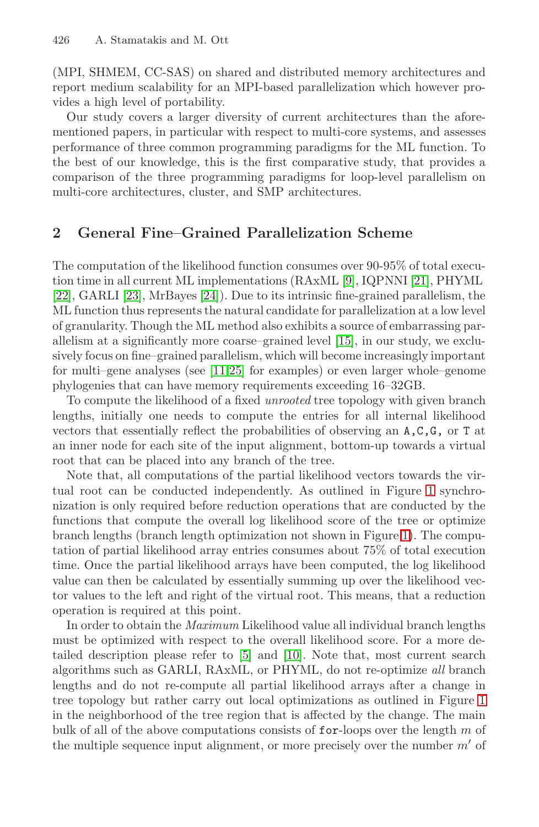#### 426 A. Stamatakis and M. Ott

(MPI, SHMEM, CC-SAS) on shared and distributed memory architectures and report medium scalability for an MPI-based parallelization which however provides a high level of portability.

Our study covers a larger diversity of current architectures than the aforementioned papers, in particular with respect to multi-core systems, and assesses performance of three common programming paradigms for the ML function. To the best of our knowledge, this is [th](#page-10-3)e first co[mpa](#page-11-2)rative study, that provides a compari[son](#page-11-3) of the three programming paradigms for loop-level parallelism on multi-core architectures, cluster, and SMP architectures.

# **2 General Fine–Graine[d](#page-10-8) [P](#page-10-8)arallelization Scheme**

The comp[uta](#page-10-12)[tion](#page-11-4) of the likelihood function consumes over 90-95% of total execution time in all current ML implementations (RAxML [9], IQPNNI [21], PHYML [22], GARLI [23], MrBayes [24]). Due to its intrinsic fine-grained parallelism, the ML function thus represents the natural candidate for parallelization at a low level of granularity. Though the ML method also exhibits a source of embarrassing parallelism at a significantly more coarse–grained level [15], in our study, we exclusively focus on fine–grained parallelism, which will become increasingly important for multi–gene analyses (see [11,25] for examples[\) o](#page-3-0)r even larger whole–genome phylogenies that can have memory requirements exceeding 16–32GB.

To compute the likelihood of a fixed *unrooted* tree topology with given branch lengths, initially one needs to compute the [e](#page-3-0)ntries for all internal likelihood vectors that essentially reflect the probabilities of observing an A,C,G, or T at an inner node for each site of the input alignment, bottom-up towards a virtual root that can be placed into any branch of the tree.

Note that, all computations of the partial likelihood vectors towards the virtual root can be conducted independently. As outlined in Figure 1 synchronization is only required before reduction operations that are conducted by the functions that compute the overall log likelihood score of the tree or optimize branch lengths [\(b](#page-10-13)ranch [leng](#page-10-4)th optimization not shown in Figure 1). The computation of partial likelihood array entries consumes about 75% of total execution time. Once the partial likelihood arrays have been computed, the log likelihood value can then be calculated by essentially summing up ov[er](#page-3-0) the likelihood vector values to the left and right of the virtual root. This means, that a reduction operation is required at this point.

In order to obtain the *Maximum* Likelihood value all individual branch lengths must be optimized with respect to the overall likelihood score. For a more detailed description please refer to [5] and [10]. Note that, most current search algorithms such as GARLI, RAxML, or PHYML, do not re-optimize *all* branch lengths and do not re-compute all partial likelihood arrays after a change in tree topology but rather carry out local optimizations as outlined in Figure 1 in the neighborhood of the tree region that is affected by the change. The main bulk of all of the above computations consists of  $for-loops$  over the length m of the multiple sequence input alignment, or more precisely over the number  $m'$  of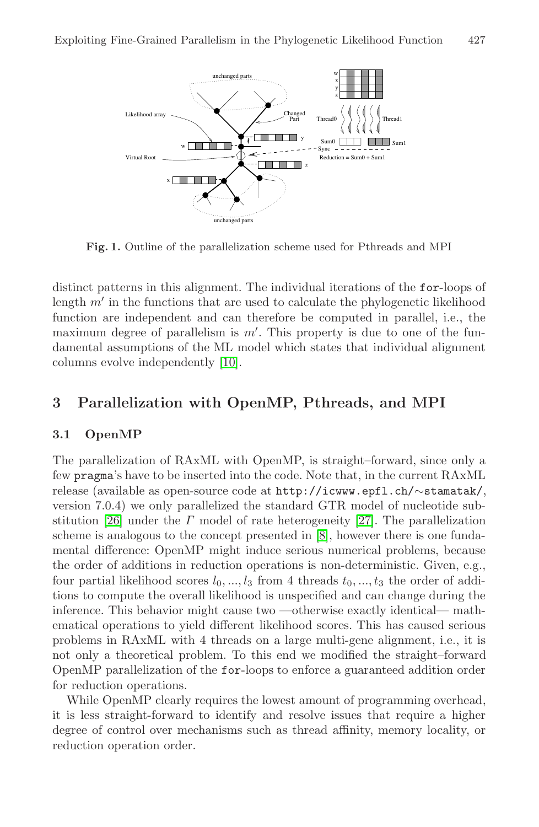

<span id="page-3-0"></span>Exploiting Fine-Grained Parallelism in the Phylogenetic Likelihood Function 427

**Fig. 1.** [O](#page-10-4)utline of the parallelization scheme used for Pthreads and MPI

distinct patterns in this alignment. The individual iterations of the for-loops of length  $m'$  in the functions that are used to calculate the phylogenetic likelihood function are independent and can therefore be computed in parallel, i.e., the maximum degree of parallelism is  $m'$ . This property is due to one of the fundamental assumptions of the ML model which states that individual alignment columns evolve independently [10].

# **3 Parallelization with Op[enM](#page-11-5)P, Pthreads, and MPI**

#### **3.1 OpenMP**

The parallelization of RAxML with OpenMP, is straight–forward, since only a few pragma's have to be inserted into the code. Note that, in the current RAxML release (available as open-source code at http://icwww.epfl.ch/∼stamatak/, version 7.0.4) we only parallelized the standard GTR model of nucleotide substitution [26] under the  $\Gamma$  model of rate heterogeneity [27]. The parallelization scheme is analogous to the concept presented in [8], however there is one fundamental difference: OpenMP might induce serious numerical problems, because the order of additions in reduction operations is non-deterministic. Given, e.g., four partial likelihood scores  $l_0, ..., l_3$  from 4 threads  $t_0, ..., t_3$  the order of additions to compute the overall likelihood is unspecified and can change during the inference. This behavior might cause two —otherwise exactly identical— mathematical operations to yield different likelihood scores. This has caused serious problems in RAxML with 4 threads on a large multi-gene alignment, i.e., it is not only a theoretical problem. To this end we modified the straight–forward OpenMP parallelization of the for-loops to enforce a guaranteed addition order for reduction operations.

While OpenMP clearly requires the lowest amount of programming overhead, it is less straight-forward to identify and resolve issues that require a higher degree of control over mechanisms such as thread affinity, memory locality, or reduction operation order.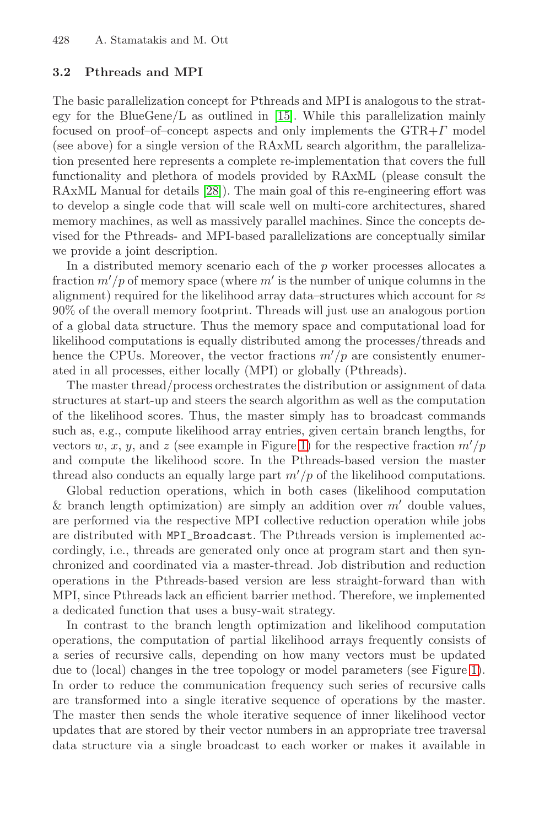## **3.2 Pt[hre](#page-11-6)ads and MPI**

The basic parallelization concept for Pthreads and MPI is analogous to the strategy for the BlueGene/L as outlined in [15]. While this parallelization mainly focused on proof–of–concept aspects and only implements the  $GTR+*\Gamma*$  model (see above) for a single version of the RAxML search algorithm, the parallelization presented here represents a complete re-implementation that covers the full functionality and plethora of models provided by RAxML (please consult the RAxML Manual for details [28]). The main goal of this re-engineering effort was to develop a single code that will scale well on multi-core architectures, shared memory machines, as well as massively parallel machines. Since the concepts devised for the Pthreads- and MPI-based parallelizations are conceptually similar we provide a joint description.

In a distributed memory scenario each of the  $p$  worker processes allocates a fraction  $m'/p$  of memory space (where  $m'$  is the number of unique columns in the alignment) required for the likelihood array data–structures which account for  $\approx$ 90% of the overall memory footprint. Threads will just use an analogous portion of a global data structure[. T](#page-3-0)hus the memory space and computational load for likelihood computations is equally distributed among the processes/threads and hence the CPUs. Moreover, the vector fractions  $m'/p$  are consistently enumerated in all processes, either locally (MPI) or globally (Pthreads).

The master thread/process orchestrates the distribution or assignment of data structures at start-up and steers the search algorithm as well as the computation of the likelihood scores. Thus, the master simply has to broadcast commands such as, e.g., compute likelihood array entries, given certain branch lengths, for vectors w, x, y, and z (see example in Figure 1) for the respective fraction  $m'/p$ and compute the likelihood score. In the Pthreads-based version the master thread also conducts an equally large part  $m'/p$  of the likelihood computations.

Global reduction operations, which in both cases (likelihood computation & branch length optimization) are simply an addition over  $m'$  double values, are performed via the respective MPI collective reduction operation while jobs are distributed with MPI\_Broadcast. The Pthreads version is implemented accordingly, i.e., threads are generated only once at progra[m](#page-3-0) start and then synchronized and coordinated via a master-thread. Job distribution and reduction operations in the Pthreads-based version are less straight-forward than with MPI, since Pthreads lack an efficient barrier method. Therefore, we implemented a dedicated function that uses a busy-wait strategy.

In contrast to the branch length optimization and likelihood computation operations, the computation of partial likelihood arrays frequently consists of a series of recursive calls, depending on how many vectors must be updated due to (local) changes in the tree topology or model parameters (see Figure 1). In order to reduce the communication frequency such series of recursive calls are transformed into a single iterative sequence of operations by the master. The master then sends the whole iterative sequence of inner likelihood vector updates that are stored by their vector numbers in an appropriate tree traversal data structure via a single broadcast to each worker or makes it available in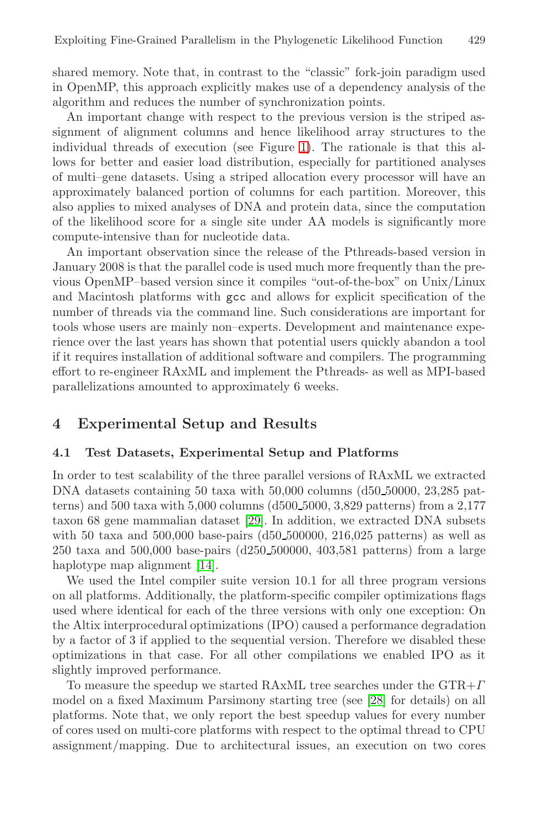shared memory. Note that, in contrast to the "classic" fork-join paradigm used in OpenMP, this approach explicitly makes use of a dependency analysis of the algorithm and reduces the number of synchronization points.

An important change with respect to the previous version is the striped assignment of alignment columns and hence likelihood array structures to the individual threads of execution (see Figure 1). The rationale is that this allows for better and easier load distribution, especially for partitioned analyses of multi–gene datasets. Using a striped allocation every processor will have an approximately balanced portion of columns for each partition. Moreover, this also applies to mixed analyses of DNA and protein data, since the computation of the likelihood score for a single site under AA models is significantly more compute-intensive than for nucleotide data.

<span id="page-5-0"></span>An important observation since the release of the Pthreads-based version in January 2008 is that the parallel code is used much more frequently than the previous OpenMP–based version since it compiles "out-of-the-box" on Unix/Linux and Macintosh platforms with gcc and allows for explicit specification of the number of threads via the command line. Such considerations are important for tools whose users are mainly non–experts. Development and maintenance experience over the last years has shown that potential users quickly abandon a tool if it requires installation of additional software and compilers. The programming effort to re-engineer RAxML and implement the Pthreads- as well as MPI-based parallelizations amounted to approximately 6 weeks.

## **4 Experimental Setup and Results**

### **4.1 [Test](#page-10-7) Datasets, Experimental Setup and Platforms**

In order to test scalability of the three parallel versions of RAxML we extracted DNA datasets containing 50 taxa with 50,000 columns (d50 50000, 23,285 patterns) and 500 taxa with 5,000 columns (d500 5000, 3,829 patterns) from a 2,177 taxon 68 gene mammalian dataset [29]. In addition, we extracted DNA subsets with 50 taxa and 500,000 base-pairs (d50 500000, 216,025 patterns) as well as 250 taxa and 500,000 base-pairs (d250 500000, 403,581 patterns) from a large haplotype map alignment [14].

We used the Intel compiler suite ve[rsio](#page-11-6)n 10.1 for all three program versions on all platforms. Additionally, the platform-specific compiler optimizations flags used where identical for each of the three versions with only one exception: On the Altix interprocedural optimizations (IPO) caused a performance degradation by a factor of 3 if applied to the sequential version. Therefore we disabled these optimizations in that case. For all other compilations we enabled IPO as it slightly improved performance.

To measure the speedup we started RAxML tree searches under the GTR+Γ model on a fixed Maximum Parsimony starting tree (see [28] for details) on all platforms. Note that, we only report the best speedup values for every number of cores used on multi-core platforms with respect to the optimal thread to CPU assignment/mapping. Due to architectural issues, an execution on two cores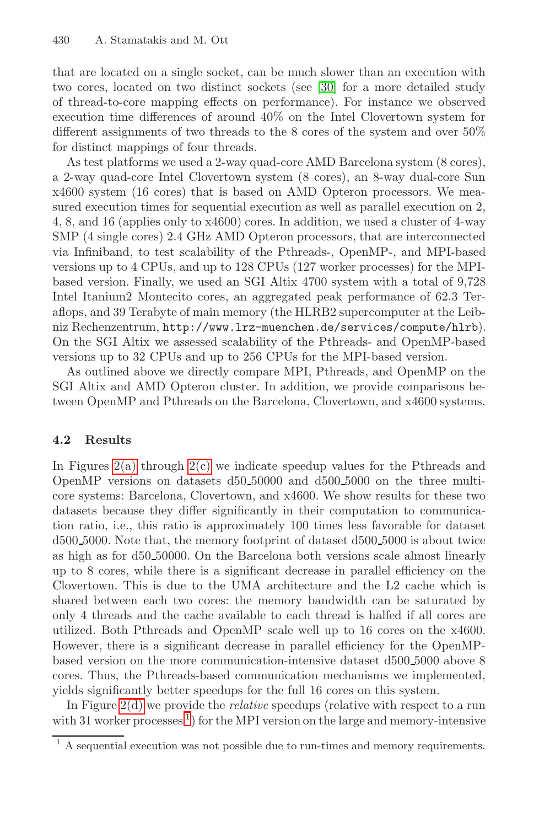#### 430 A. Stamatakis and M. Ott

that are located on a single socket, can be much slower than an execution with two cores, located on two distinct sockets (see [30] for a more detailed study of thread-to-core mapping effects on performance). For instance we observed execution time differences of around 40% on the Intel Clovertown system for different assignments of two threads to the 8 cores of the system and over 50% for distinct mappings of four threads.

As test platforms we used a 2-way quad-core AMD Barcelona system (8 cores), a 2-way quad-core Intel Clovertown system (8 cores), an 8-way dual-core Sun x4600 system (16 cores) that is based on AMD Opteron processors. We measured execution times for sequential execution as well as parallel execution on 2, 4, 8, and 16 (applies only to x4600) cores. In addition, we used a cluster of 4-way SMP (4 single cores) 2.4 GHz AMD Opteron processors, that are interconnected via Infiniband, to test scalability of the Pthreads-, OpenMP-, and MPI-based versions up to 4 CPUs, and up to 128 CPUs (127 worker processes) for the MPIbased version. Finally, we used an SGI Altix 4700 system with a total of 9,728 Intel Itanium2 Montecito cores, an aggregated peak performance of 62.3 Teraflops, and 39 Terabyte of main memory (the HLRB2 supercomputer at the Leibniz Rechenzentrum, http://www.lrz-muenchen.de/services/compute/hlrb). On the SGI Altix we assessed scalability of the Pthreads- and OpenMP-based versio[ns](#page-7-0) [up](#page-7-0) to 32 CPUs and up to 256 CPUs for the MPI-based version.

As outlined above we directly compare MPI, Pthreads, and OpenMP on the SGI Altix and AMD Opteron cluster. In addition, we provide comparisons between OpenMP and Pthreads on the Barcelona, Clovertown, and x4600 systems.

## **4.2 Results**

In Figures  $2(a)$  through  $2(c)$  we indicate speedup values for the Pthreads and OpenMP versions on datasets d50 50000 and d500 5000 on the three multicore systems: Barcelona, Clovertown, and x4600. We show results for these two datasets because they differ significantly in their computation to communication ratio, i.e., this ratio is approximately 100 times less favorable for dataset d500 5000. Note that, the memory footprint of dataset d500 5000 is about twice as high as for d50 50000. On the Barcelona both versions scale almost linearly up to 8 cores, while there is a significant decrease in parallel efficiency on the Clovertown. This is due to the UMA architecture and the L2 cache which is shar[ed](#page-6-0) between each two cores: the memory bandwidth can be saturated by only 4 threads and the cache available to each thread is halfed if all cores are utilized. Both Pthreads and OpenMP scale well up to 16 cores on the x4600. However, there is a significant decrease in parallel efficiency for the OpenMPbased version on the more communication-intensive dataset d500 5000 above 8 cores. Thus, the Pthreads-based communication mechanisms we implemented, yields significantly better speedups for the full 16 cores on this system.

<span id="page-6-0"></span>In Figure 2(d) we provide the *relative* speedups (relative with respect to a run with 31 worker processes  $^1$ ) for the MPI version on the large and memory-intensive

 $1 \text{ A sequential execution was not possible due to run-times and memory requirements.}$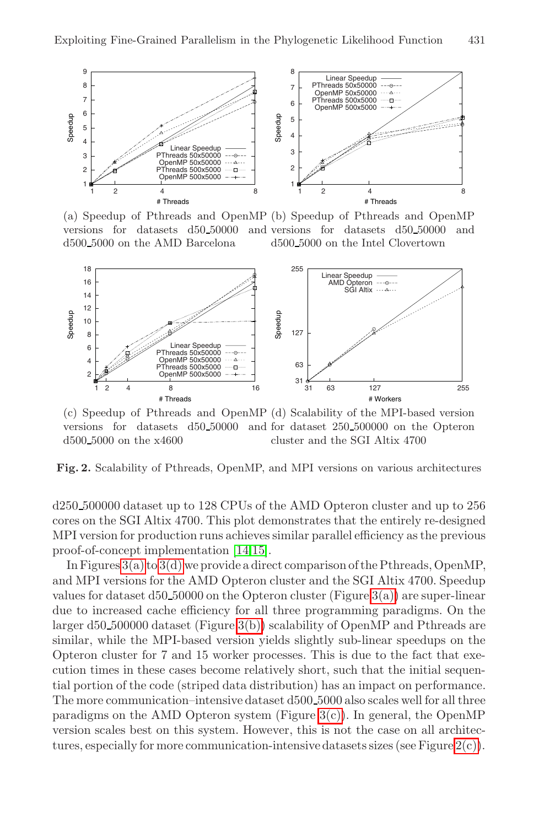<span id="page-7-0"></span>

(a) Speedup of Pthreads and OpenMP (b) Speedup of Pthreads and OpenMP versions for datasets  $d50.50000$ d500 5000 on the AMD Barcelona and versions for datasets d50.50000 and d500 5000 on the Intel Clovertown



(c) Speedup of Pthreads and OpenMP (d) Scalability of the MPI-based version versions for datasets d50 50000 and for dataset 250 500000 on the Opteron [d50](#page-8-0)0 5000 on [th](#page-10-7)[e](#page-10-8) [x4](#page-10-8)600 cluster and the SGI Altix 4700

**Fig. 2.** Scalability of Pthreads, OpenMP, [and](#page-8-1) [M](#page-8-1)PI versions on various architectures

d250 500000 d[ataset](#page-8-2) up to 128 CPUs of the AMD Opteron cluster and up to 256 cores on the SGI Altix 4700. This plot demonstrates that the entirely re-designed MPI version for production runs achieves similar parallel efficiency as the previous proof-of-concept implementation [14,15].

In Figures 3(a) to 3(d) we provide a direct comparison of the Pthreads, OpenMP, and MPI versions for the AMD Opteron cluster and the SGI Altix 4700. Speedup values for dataset  $d50-50000$  o[n the](#page-8-3) Opteron cluster (Figure 3(a)) are super-linear due to increased cache efficiency for all three programming paradigms. On the larger d50 500000 dataset (Figure 3(b)) scalability of O[penM](#page-7-0)P and Pthreads are similar, while the MPI-based version yields slightly sub-linear speedups on the Opteron cluster for 7 and 15 worker processes. This is due to the fact that execution times in these cases become relatively short, such that the initial sequential portion of the code (striped data distribution) has an impact on performance. The more communication–intensive dataset d500<sub>-</sub>5000 also scales well for all three paradigms on the AMD Opteron system (Figure  $3(c)$ ). In general, the OpenMP version scales best on this system. However, this is not the case on all architectures, especially for more communication-intensive datasets sizes (see Figure  $2(c)$ ).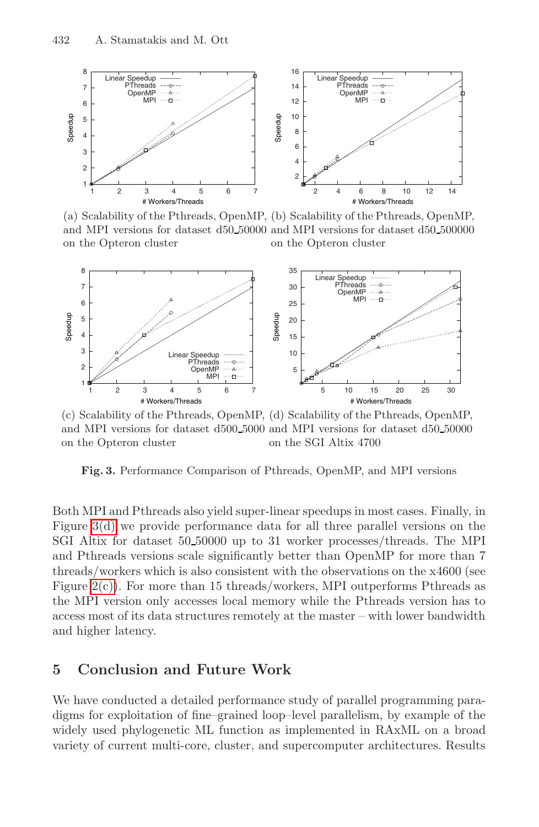<span id="page-8-3"></span><span id="page-8-2"></span><span id="page-8-1"></span>

(a) Scalability of the Pthreads, OpenMP, (b) Scalability of the Pthreads, OpenMP, and MPI versions for dataset d50 50000 and MPI versions for dataset d50 500000 on the Opteron cluster on the Opteron cluster

<span id="page-8-0"></span>

(c) Scalability of the Pthreads, OpenMP, (d) Scalability of the Pthreads, OpenMP, and MPI versions for dataset d500 5000 and MPI versions for dataset d50 50000 on the Opteron cluster on the SGI Altix 4700

**Fig. 3.** Performance Comparison of Pthreads, OpenMP, and MPI versions

Both MPI and Pthreads also yield super-linear speedups in most cases. Finally, in Figure 3(d) we provide performance data for all three parallel versions on the SGI Altix for dataset 50 50000 up to 31 worker processes/threads. The MPI and Pthreads versions scale significantly better than OpenMP for more than 7 threads/workers which is also consistent with the observations on the x4600 (see Figure  $2(c)$ ). For more than 15 threads/workers, MPI outperforms Pthreads as the MPI version only accesses local memory while the Pthreads version has to access most of its data structures remotely at the master – with lower bandwidth and higher latency.

# **5 Conclusion and Future Work**

We have conducted a detailed performance study of parallel programming paradigms for exploitation of fine–grained loop–level parallelism, by example of the widely used phylogenetic ML function as implemented in RAxML on a broad variety of current multi-core, cluster, and supercomputer architectures. Results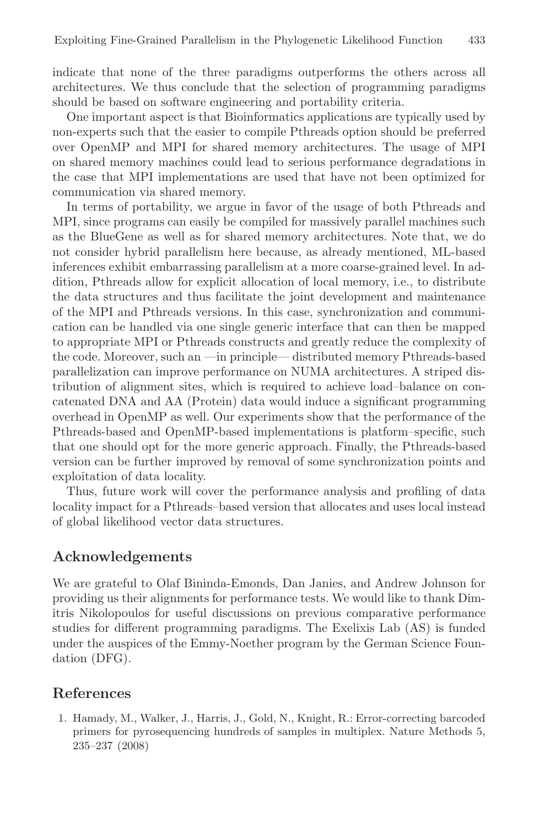indicate that none of the three paradigms outperforms the others across all architectures. We thus conclude that the selection of programming paradigms should be based on software engineering and portability criteria.

One important aspect is that Bioinformatics applications are typically used by non-experts such that the easier to compile Pthreads option should be preferred over OpenMP and MPI for shared memory architectures. The usage of MPI on shared memory machines could lead to serious performance degradations in the case that MPI implementations are used that have not been optimized for communication via shared memory.

In terms of portability, we argue in favor of the usage of both Pthreads and MPI, since programs can easily be compiled for massively parallel machines such as the BlueGene as well as for shared memory architectures. Note that, we do not consider hybrid parallelism here because, as already mentioned, ML-based inferences exhibit embarrassing parallelism at a more coarse-grained level. In addition, Pthreads allow for explicit allocation of local memory, i.e., to distribute the data structures and thus facilitate the joint development and maintenance of the MPI and Pthreads versions. In this case, synchronization and communication can be handled via one single generic interface that can then be mapped to appropriate MPI or Pthreads constructs and greatly reduce the complexity of the code. Moreover, such an —in principle— distributed memory Pthreads-based parallelization can improve performance on NUMA architectures. A striped distribution of alignment sites, which is required to achieve load–balance on concatenated DNA and AA (Protein) data would induce a significant programming overhead in OpenMP as well. Our experiments show that the performance of the Pthreads-based and OpenMP-based implementations is platform–specific, such that one should opt for the more generic approach. Finally, the Pthreads-based version can be further improved by removal of some synchronization points and exploitation of data locality.

Thus, future work will cover the performance analysis and profiling of data locality impact for a Pthreads–based version that allocates and uses local instead of global likelihood vector data structures.

## **Acknowledgements**

We are grateful to Olaf Bininda-Emonds, Dan Janies, and Andrew Johnson for providing us their alignments for performance tests. We would like to thank Dimitris Nikolopoulos for useful discussions on previous comparative performance studies for different programming paradigms. The Exelixis Lab (AS) is funded under the auspices of the Emmy-Noether program by the German Science Foundation (DFG).

## **References**

1. Hamady, M., Walker, J., Harris, J., Gold, N., Knight, R.: Error-correcting barcoded primers for pyrosequencing hundreds of samples in multiplex. Nature Methods 5, 235–237 (2008)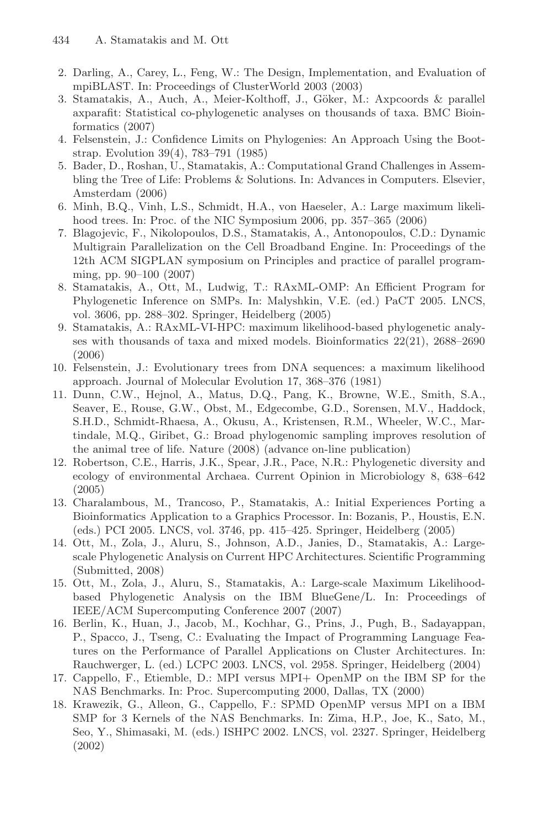- <span id="page-10-0"></span>2. Darling, A., Carey, L., Feng, W.: The Design, Implementation, and Evaluation of mpiBLAST. In: Proceedings of ClusterWorld 2003 (2003)
- <span id="page-10-1"></span>3. Stamatakis, A., Auch, A., Meier-Kolthoff, J., Göker, M.: Axpcoords & parallel axparafit: Statistical co-phylogenetic analyses on thousands of taxa. BMC Bioinformatics (2007)
- 4. Felsenstein, J.: Confidence Limits on Phylogenies: An Approach Using the Bootstrap. Evolution 39(4), 783–791 (1985)
- <span id="page-10-13"></span>5. Bader, D., Roshan, U., Stamatakis, A.: Computational Grand Challenges in Assembling the Tree of Life: Problems & Solutions. In: Advances in Computers. Elsevier, Amsterdam (2006)
- 6. Minh, B.Q., Vinh, L.S., Schmidt, H.A., von Haeseler, A.: Large maximum likelihood trees. In: Proc. of the NIC Symposium 2006, pp. 357–365 (2006)
- <span id="page-10-6"></span>7. Blagojevic, F., Nikolopoulos, D.S., Stamatakis, A., Antonopoulos, C.D.: Dynamic Multigrain Parallelization on the Cell Broadband Engine. In: Proceedings of the 12th ACM SIGPLAN symposium on Principles and practice of parallel programming, pp. 90–100 (2007)
- <span id="page-10-2"></span>8. Stamatakis, A., Ott, M., Ludwig, T.: RAxML-OMP: An Efficient Program for Phylogenetic Inference on SMPs. In: Malyshkin, V.E. (ed.) PaCT 2005. LNCS, vol. 3606, pp. 288–302. Springer, Heidelberg (2005)
- <span id="page-10-3"></span>9. Stamatakis, A.: RAxML-VI-HPC: maximum likelihood-based phylogenetic analyses with thousands of taxa and mixed models. Bioinformatics 22(21), 2688–2690 (2006)
- <span id="page-10-4"></span>10. Felsenstein, J.: Evolutionary trees from DNA sequences: a maximum likelihood approach. Journal of Molecular Evolution 17, 368–376 (1981)
- <span id="page-10-12"></span>11. Dunn, C.W., Hejnol, A., Matus, D.Q., Pang, K., Browne, W.E., Smith, S.A., Seaver, E., Rouse, G.W., Obst, M., Edgecombe, G.D., Sorensen, M.V., Haddock, S.H.D., Schmidt-Rhaesa, A., Okusu, A., Kristensen, R.M., Wheeler, W.C., Martindale, M.Q., Giribet, G.: Broad phylogenomic sampling improves resolution of the animal tree of life. Nature (2008) (advance on-line publication)
- 12. Robertson, C.E., Harris, J.K., Spear, J.R., Pace, N.R.: Phylogenetic diversity and ecology of environmental Archaea. Current Opinion in Microbiology 8, 638–642 (2005)
- <span id="page-10-5"></span>13. Charalambous, M., Trancoso, P., Stamatakis, A.: Initial Experiences Porting a Bioinformatics Application to a Graphics Processor. In: Bozanis, P., Houstis, E.N. (eds.) PCI 2005. LNCS, vol. 3746, pp. 415–425. Springer, Heidelberg (2005)
- <span id="page-10-7"></span>14. Ott, M., Zola, J., Aluru, S., Johnson, A.D., Janies, D., Stamatakis, A.: Largescale Phylogenetic Analysis on Current HPC Architectures. Scientific Programming (Submitted, 2008)
- <span id="page-10-8"></span>15. Ott, M., Zola, J., Aluru, S., Stamatakis, A.: Large-scale Maximum Likelihoodbased Phylogenetic Analysis on the IBM BlueGene/L. In: Proceedings of IEEE/ACM Supercomputing Conference 2007 (2007)
- <span id="page-10-9"></span>16. Berlin, K., Huan, J., Jacob, M., Kochhar, G., Prins, J., Pugh, B., Sadayappan, P., Spacco, J., Tseng, C.: Evaluating the Impact of Programming Language Features on the Performance of Parallel Applications on Cluster Architectures. In: Rauchwerger, L. (ed.) LCPC 2003. LNCS, vol. 2958. Springer, Heidelberg (2004)
- <span id="page-10-10"></span>17. Cappello, F., Etiemble, D.: MPI versus MPI+ OpenMP on the IBM SP for the NAS Benchmarks. In: Proc. Supercomputing 2000, Dallas, TX (2000)
- <span id="page-10-11"></span>18. Krawezik, G., Alleon, G., Cappello, F.: SPMD OpenMP versus MPI on a IBM SMP for 3 Kernels of the NAS Benchmarks. In: Zima, H.P., Joe, K., Sato, M., Seo, Y., Shimasaki, M. (eds.) ISHPC 2002. LNCS, vol. 2327. Springer, Heidelberg (2002)